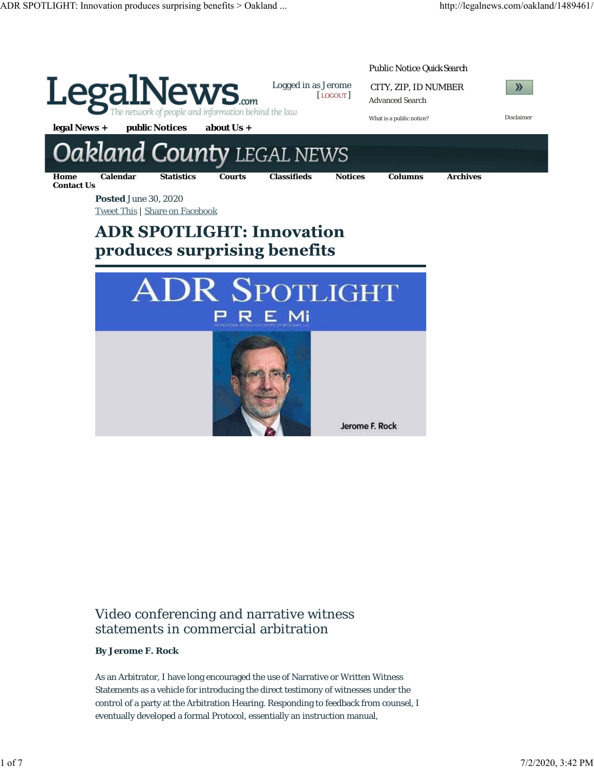

# Video conferencing and narrative witness statements in commercial arbitration

# **By Jerome F. Rock**

As an Arbitrator, I have long encouraged the use of Narrative or Written Witness Statements as a vehicle for introducing the direct testimony of witnesses under the control of a party at the Arbitration Hearing. Responding to feedback from counsel, I eventually developed a formal Protocol, essentially an instruction manual,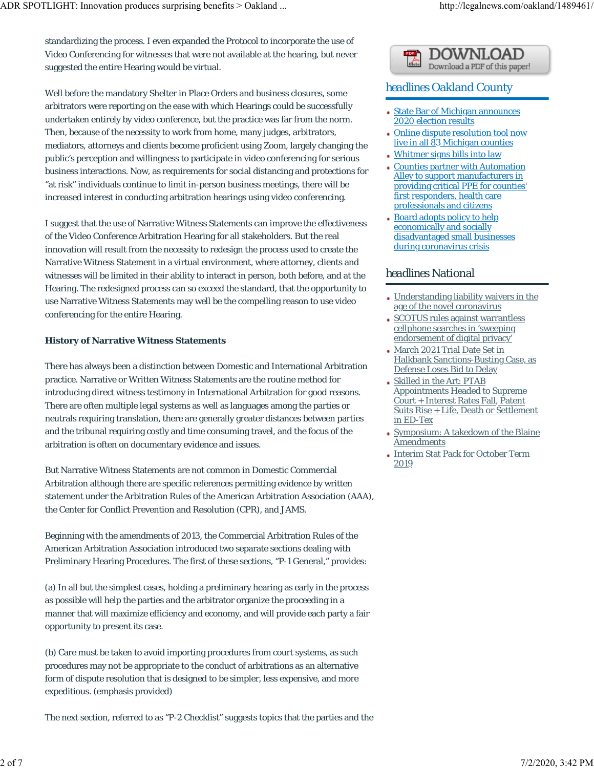standardizing the process. I even expanded the Protocol to incorporate the use of Video Conferencing for witnesses that were not available at the hearing, but never suggested the entire Hearing would be virtual.

Well before the mandatory Shelter in Place Orders and business closures, some arbitrators were reporting on the ease with which Hearings could be successfully undertaken entirely by video conference, but the practice was far from the norm. Then, because of the necessity to work from home, many judges, arbitrators, mediators, attorneys and clients become proficient using Zoom, largely changing the public's perception and willingness to participate in video conferencing for serious business interactions. Now, as requirements for social distancing and protections for "at risk" individuals continue to limit in-person business meetings, there will be increased interest in conducting arbitration hearings using video conferencing.

I suggest that the use of Narrative Witness Statements can improve the effectiveness of the Video Conference Arbitration Hearing for all stakeholders. But the real innovation will result from the necessity to redesign the process used to create the Narrative Witness Statement in a virtual environment, where attorney, clients and witnesses will be limited in their ability to interact in person, both before, and at the Hearing. The redesigned process can so exceed the standard, that the opportunity to use Narrative Witness Statements may well be the compelling reason to use video conferencing for the entire Hearing.

#### **History of Narrative Witness Statements**

There has always been a distinction between Domestic and International Arbitration practice. Narrative or Written Witness Statements are the routine method for introducing direct witness testimony in International Arbitration for good reasons. There are often multiple legal systems as well as languages among the parties or neutrals requiring translation, there are generally greater distances between parties and the tribunal requiring costly and time consuming travel, and the focus of the arbitration is often on documentary evidence and issues.

But Narrative Witness Statements are not common in Domestic Commercial Arbitration although there are specific references permitting evidence by written statement under the Arbitration Rules of the American Arbitration Association (AAA), the Center for Conflict Prevention and Resolution (CPR), and JAMS.

Beginning with the amendments of 2013, the Commercial Arbitration Rules of the American Arbitration Association introduced two separate sections dealing with Preliminary Hearing Procedures. The first of these sections, "P-1 General," provides:

(a) In all but the simplest cases, holding a preliminary hearing as early in the process as possible will help the parties and the arbitrator organize the proceeding in a manner that will maximize efficiency and economy, and will provide each party a fair opportunity to present its case.

(b) Care must be taken to avoid importing procedures from court systems, as such procedures may not be appropriate to the conduct of arbitrations as an alternative form of dispute resolution that is designed to be simpler, less expensive, and more expeditious. (emphasis provided)

The next section, referred to as "P-2 Checklist" suggests topics that the parties and the

# Download a PDF of this paper!

# *headlines* Oakland County

- State Bar of Michigan announces 2020 election results
- Online dispute resolution tool now live in all 83 Michigan counties
- Whitmer signs bills into law
- Counties partner with Automation Alley to support manufacturers in providing critical PPE for counties' first responders, health care professionals and citizens
- Board adopts policy to help economically and socially disadvantaged small businesses during coronavirus crisis

# *headlines* National

- Understanding liability waivers in the age of the novel coronavirus
- SCOTUS rules against warrantless cellphone searches in 'sweeping endorsement of digital privacy'
- March 2021 Trial Date Set in Halkbank Sanctions-Busting Case, as Defense Loses Bid to Delay
- Skilled in the Art: PTAB Appointments Headed to Supreme Court + Interest Rates Fall, Patent Suits Rise + Life, Death or Settlement in ED-Tex
- Symposium: A takedown of the Blaine Amendments
- Interim Stat Pack for October Term 2019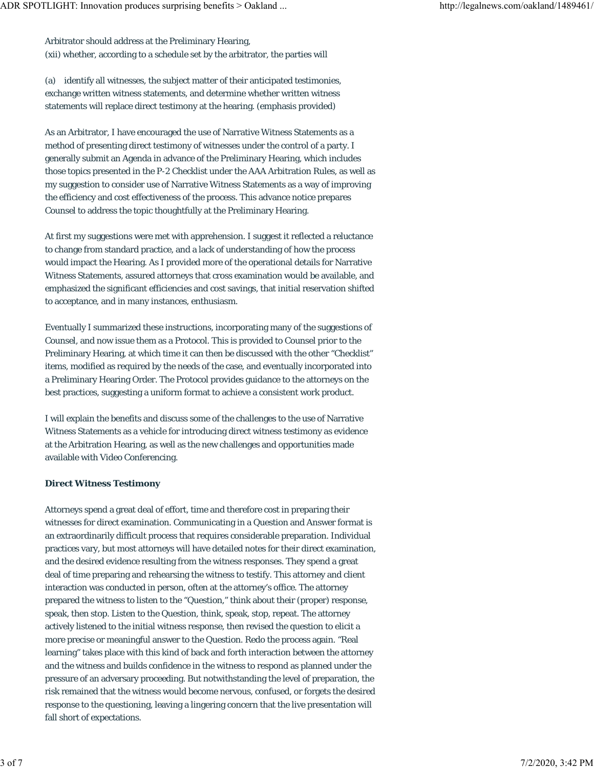Arbitrator should address at the Preliminary Hearing, (xii) whether, according to a schedule set by the arbitrator, the parties will

(a) identify all witnesses, the subject matter of their anticipated testimonies, exchange written witness statements, and determine whether written witness statements will replace direct testimony at the hearing. (emphasis provided)

As an Arbitrator, I have encouraged the use of Narrative Witness Statements as a method of presenting direct testimony of witnesses under the control of a party. I generally submit an Agenda in advance of the Preliminary Hearing, which includes those topics presented in the P-2 Checklist under the AAA Arbitration Rules, as well as my suggestion to consider use of Narrative Witness Statements as a way of improving the efficiency and cost effectiveness of the process. This advance notice prepares Counsel to address the topic thoughtfully at the Preliminary Hearing.

At first my suggestions were met with apprehension. I suggest it reflected a reluctance to change from standard practice, and a lack of understanding of how the process would impact the Hearing. As I provided more of the operational details for Narrative Witness Statements, assured attorneys that cross examination would be available, and emphasized the significant efficiencies and cost savings, that initial reservation shifted to acceptance, and in many instances, enthusiasm.

Eventually I summarized these instructions, incorporating many of the suggestions of Counsel, and now issue them as a Protocol. This is provided to Counsel prior to the Preliminary Hearing, at which time it can then be discussed with the other "Checklist" items, modified as required by the needs of the case, and eventually incorporated into a Preliminary Hearing Order. The Protocol provides guidance to the attorneys on the best practices, suggesting a uniform format to achieve a consistent work product.

I will explain the benefits and discuss some of the challenges to the use of Narrative Witness Statements as a vehicle for introducing direct witness testimony as evidence at the Arbitration Hearing, as well as the new challenges and opportunities made available with Video Conferencing.

# **Direct Witness Testimony**

Attorneys spend a great deal of effort, time and therefore cost in preparing their witnesses for direct examination. Communicating in a Question and Answer format is an extraordinarily difficult process that requires considerable preparation. Individual practices vary, but most attorneys will have detailed notes for their direct examination, and the desired evidence resulting from the witness responses. They spend a great deal of time preparing and rehearsing the witness to testify. This attorney and client interaction was conducted in person, often at the attorney's office. The attorney prepared the witness to listen to the "Question," think about their (proper) response, speak, then stop. Listen to the Question, think, speak, stop, repeat. The attorney actively listened to the initial witness response, then revised the question to elicit a more precise or meaningful answer to the Question. Redo the process again. "Real learning" takes place with this kind of back and forth interaction between the attorney and the witness and builds confidence in the witness to respond as planned under the pressure of an adversary proceeding. But notwithstanding the level of preparation, the risk remained that the witness would become nervous, confused, or forgets the desired response to the questioning, leaving a lingering concern that the live presentation will fall short of expectations.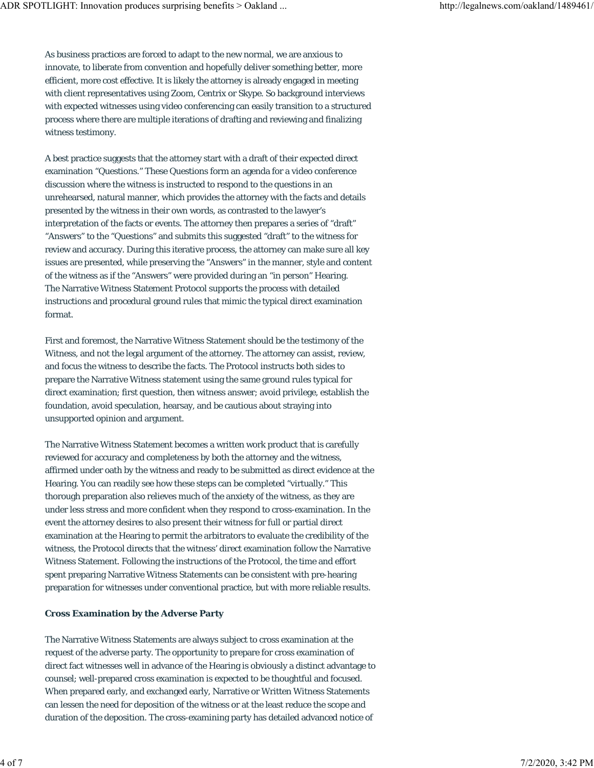As business practices are forced to adapt to the new normal, we are anxious to innovate, to liberate from convention and hopefully deliver something better, more efficient, more cost effective. It is likely the attorney is already engaged in meeting with client representatives using Zoom, Centrix or Skype. So background interviews with expected witnesses using video conferencing can easily transition to a structured process where there are multiple iterations of drafting and reviewing and finalizing witness testimony.

A best practice suggests that the attorney start with a draft of their expected direct examination "Questions." These Questions form an agenda for a video conference discussion where the witness is instructed to respond to the questions in an unrehearsed, natural manner, which provides the attorney with the facts and details presented by the witness in their own words, as contrasted to the lawyer's interpretation of the facts or events. The attorney then prepares a series of "draft" "Answers" to the "Questions" and submits this suggested "draft" to the witness for review and accuracy. During this iterative process, the attorney can make sure all key issues are presented, while preserving the "Answers" in the manner, style and content of the witness as if the "Answers" were provided during an "in person" Hearing. The Narrative Witness Statement Protocol supports the process with detailed instructions and procedural ground rules that mimic the typical direct examination format.

First and foremost, the Narrative Witness Statement should be the testimony of the Witness, and not the legal argument of the attorney. The attorney can assist, review, and focus the witness to describe the facts. The Protocol instructs both sides to prepare the Narrative Witness statement using the same ground rules typical for direct examination; first question, then witness answer; avoid privilege, establish the foundation, avoid speculation, hearsay, and be cautious about straying into unsupported opinion and argument.

The Narrative Witness Statement becomes a written work product that is carefully reviewed for accuracy and completeness by both the attorney and the witness, affirmed under oath by the witness and ready to be submitted as direct evidence at the Hearing. You can readily see how these steps can be completed "virtually." This thorough preparation also relieves much of the anxiety of the witness, as they are under less stress and more confident when they respond to cross-examination. In the event the attorney desires to also present their witness for full or partial direct examination at the Hearing to permit the arbitrators to evaluate the credibility of the witness, the Protocol directs that the witness' direct examination follow the Narrative Witness Statement. Following the instructions of the Protocol, the time and effort spent preparing Narrative Witness Statements can be consistent with pre-hearing preparation for witnesses under conventional practice, but with more reliable results.

# **Cross Examination by the Adverse Party**

The Narrative Witness Statements are always subject to cross examination at the request of the adverse party. The opportunity to prepare for cross examination of direct fact witnesses well in advance of the Hearing is obviously a distinct advantage to counsel; well-prepared cross examination is expected to be thoughtful and focused. When prepared early, and exchanged early, Narrative or Written Witness Statements can lessen the need for deposition of the witness or at the least reduce the scope and duration of the deposition. The cross-examining party has detailed advanced notice of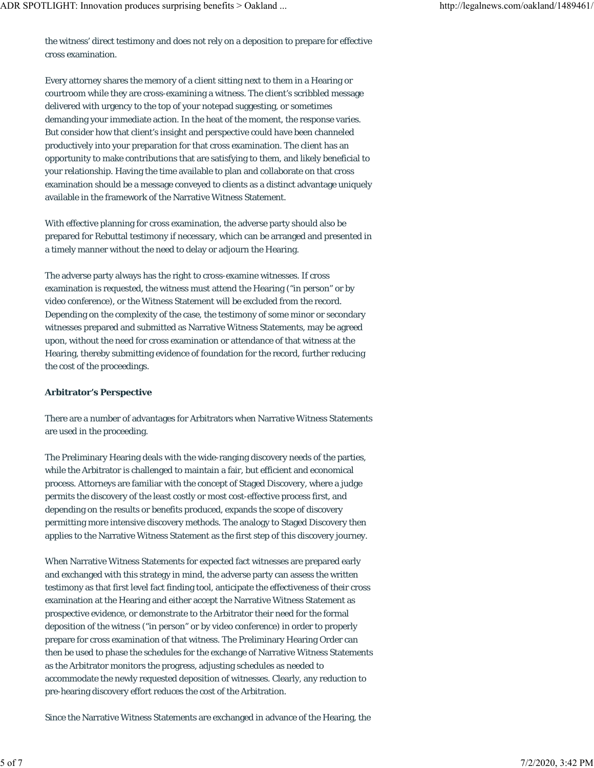the witness' direct testimony and does not rely on a deposition to prepare for effective cross examination.

Every attorney shares the memory of a client sitting next to them in a Hearing or courtroom while they are cross-examining a witness. The client's scribbled message delivered with urgency to the top of your notepad suggesting, or sometimes demanding your immediate action. In the heat of the moment, the response varies. But consider how that client's insight and perspective could have been channeled productively into your preparation for that cross examination. The client has an opportunity to make contributions that are satisfying to them, and likely beneficial to your relationship. Having the time available to plan and collaborate on that cross examination should be a message conveyed to clients as a distinct advantage uniquely available in the framework of the Narrative Witness Statement.

With effective planning for cross examination, the adverse party should also be prepared for Rebuttal testimony if necessary, which can be arranged and presented in a timely manner without the need to delay or adjourn the Hearing.

The adverse party always has the right to cross-examine witnesses. If cross examination is requested, the witness must attend the Hearing ("in person" or by video conference), or the Witness Statement will be excluded from the record. Depending on the complexity of the case, the testimony of some minor or secondary witnesses prepared and submitted as Narrative Witness Statements, may be agreed upon, without the need for cross examination or attendance of that witness at the Hearing, thereby submitting evidence of foundation for the record, further reducing the cost of the proceedings.

#### **Arbitrator's Perspective**

There are a number of advantages for Arbitrators when Narrative Witness Statements are used in the proceeding.

The Preliminary Hearing deals with the wide-ranging discovery needs of the parties, while the Arbitrator is challenged to maintain a fair, but efficient and economical process. Attorneys are familiar with the concept of Staged Discovery, where a judge permits the discovery of the least costly or most cost-effective process first, and depending on the results or benefits produced, expands the scope of discovery permitting more intensive discovery methods. The analogy to Staged Discovery then applies to the Narrative Witness Statement as the first step of this discovery journey.

When Narrative Witness Statements for expected fact witnesses are prepared early and exchanged with this strategy in mind, the adverse party can assess the written testimony as that first level fact finding tool, anticipate the effectiveness of their cross examination at the Hearing and either accept the Narrative Witness Statement as prospective evidence, or demonstrate to the Arbitrator their need for the formal deposition of the witness ("in person" or by video conference) in order to properly prepare for cross examination of that witness. The Preliminary Hearing Order can then be used to phase the schedules for the exchange of Narrative Witness Statements as the Arbitrator monitors the progress, adjusting schedules as needed to accommodate the newly requested deposition of witnesses. Clearly, any reduction to pre-hearing discovery effort reduces the cost of the Arbitration.

Since the Narrative Witness Statements are exchanged in advance of the Hearing, the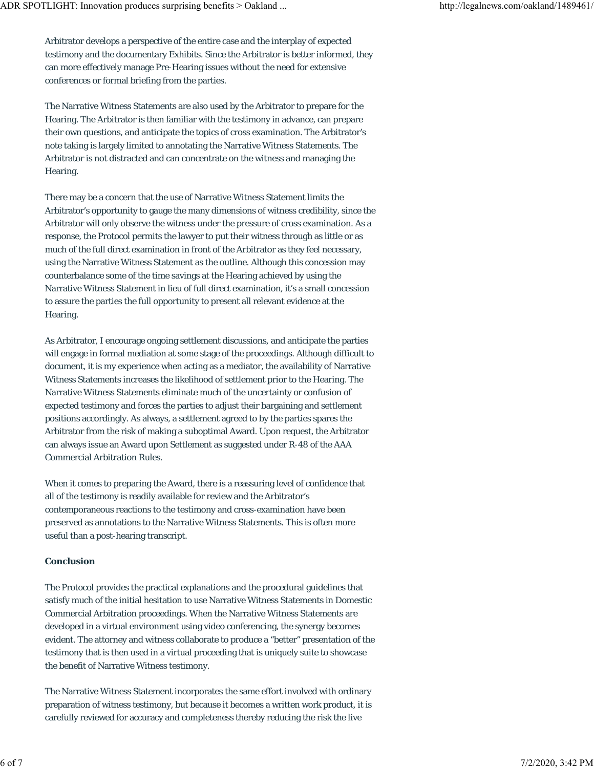Arbitrator develops a perspective of the entire case and the interplay of expected testimony and the documentary Exhibits. Since the Arbitrator is better informed, they can more effectively manage Pre-Hearing issues without the need for extensive conferences or formal briefing from the parties.

The Narrative Witness Statements are also used by the Arbitrator to prepare for the Hearing. The Arbitrator is then familiar with the testimony in advance, can prepare their own questions, and anticipate the topics of cross examination. The Arbitrator's note taking is largely limited to annotating the Narrative Witness Statements. The Arbitrator is not distracted and can concentrate on the witness and managing the Hearing.

There may be a concern that the use of Narrative Witness Statement limits the Arbitrator's opportunity to gauge the many dimensions of witness credibility, since the Arbitrator will only observe the witness under the pressure of cross examination. As a response, the Protocol permits the lawyer to put their witness through as little or as much of the full direct examination in front of the Arbitrator as they feel necessary, using the Narrative Witness Statement as the outline. Although this concession may counterbalance some of the time savings at the Hearing achieved by using the Narrative Witness Statement in lieu of full direct examination, it's a small concession to assure the parties the full opportunity to present all relevant evidence at the Hearing.

As Arbitrator, I encourage ongoing settlement discussions, and anticipate the parties will engage in formal mediation at some stage of the proceedings. Although difficult to document, it is my experience when acting as a mediator, the availability of Narrative Witness Statements increases the likelihood of settlement prior to the Hearing. The Narrative Witness Statements eliminate much of the uncertainty or confusion of expected testimony and forces the parties to adjust their bargaining and settlement positions accordingly. As always, a settlement agreed to by the parties spares the Arbitrator from the risk of making a suboptimal Award. Upon request, the Arbitrator can always issue an Award upon Settlement as suggested under R-48 of the AAA Commercial Arbitration Rules.

When it comes to preparing the Award, there is a reassuring level of confidence that all of the testimony is readily available for review and the Arbitrator's contemporaneous reactions to the testimony and cross-examination have been preserved as annotations to the Narrative Witness Statements. This is often more useful than a post-hearing transcript.

# **Conclusion**

The Protocol provides the practical explanations and the procedural guidelines that satisfy much of the initial hesitation to use Narrative Witness Statements in Domestic Commercial Arbitration proceedings. When the Narrative Witness Statements are developed in a virtual environment using video conferencing, the synergy becomes evident. The attorney and witness collaborate to produce a "better" presentation of the testimony that is then used in a virtual proceeding that is uniquely suite to showcase the benefit of Narrative Witness testimony.

The Narrative Witness Statement incorporates the same effort involved with ordinary preparation of witness testimony, but because it becomes a written work product, it is carefully reviewed for accuracy and completeness thereby reducing the risk the live